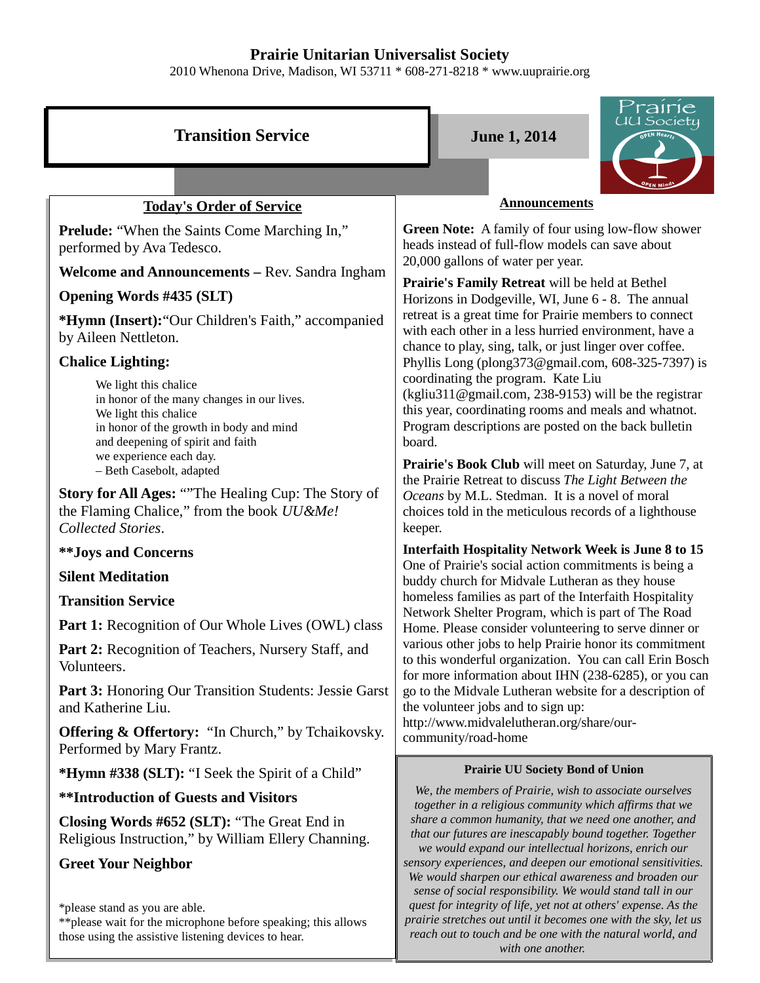## **Prairie Unitarian Universalist Society**

2010 Whenona Drive, Madison, WI 53711 \* 608-271-8218 \* www.uuprairie.org

|                                                                                                                                                                                                         | Prairie                                                                                                                                                                                                                                                                                                                                                                                                                                                                                                                                                                                                                                                                                                                                                |  |  |
|---------------------------------------------------------------------------------------------------------------------------------------------------------------------------------------------------------|--------------------------------------------------------------------------------------------------------------------------------------------------------------------------------------------------------------------------------------------------------------------------------------------------------------------------------------------------------------------------------------------------------------------------------------------------------------------------------------------------------------------------------------------------------------------------------------------------------------------------------------------------------------------------------------------------------------------------------------------------------|--|--|
| <b>Transition Service</b>                                                                                                                                                                               | UU Society<br><b>June 1, 2014</b>                                                                                                                                                                                                                                                                                                                                                                                                                                                                                                                                                                                                                                                                                                                      |  |  |
|                                                                                                                                                                                                         |                                                                                                                                                                                                                                                                                                                                                                                                                                                                                                                                                                                                                                                                                                                                                        |  |  |
| <b>Today's Order of Service</b>                                                                                                                                                                         | <b>Announcements</b>                                                                                                                                                                                                                                                                                                                                                                                                                                                                                                                                                                                                                                                                                                                                   |  |  |
| Prelude: "When the Saints Come Marching In,"<br>performed by Ava Tedesco.                                                                                                                               | Green Note: A family of four using low-flow shower<br>heads instead of full-flow models can save about                                                                                                                                                                                                                                                                                                                                                                                                                                                                                                                                                                                                                                                 |  |  |
| <b>Welcome and Announcements - Rev. Sandra Ingham</b>                                                                                                                                                   | 20,000 gallons of water per year.<br>Prairie's Family Retreat will be held at Bethel                                                                                                                                                                                                                                                                                                                                                                                                                                                                                                                                                                                                                                                                   |  |  |
| <b>Opening Words #435 (SLT)</b>                                                                                                                                                                         | Horizons in Dodgeville, WI, June 6 - 8. The annual<br>retreat is a great time for Prairie members to connect<br>with each other in a less hurried environment, have a<br>chance to play, sing, talk, or just linger over coffee.<br>Phyllis Long (plong373@gmail.com, 608-325-7397) is<br>coordinating the program. Kate Liu<br>(kgliu311@gmail.com, 238-9153) will be the registrar<br>this year, coordinating rooms and meals and whatnot.<br>Program descriptions are posted on the back bulletin<br>board.<br>Prairie's Book Club will meet on Saturday, June 7, at<br>the Prairie Retreat to discuss The Light Between the<br>Oceans by M.L. Stedman. It is a novel of moral<br>choices told in the meticulous records of a lighthouse<br>keeper. |  |  |
| *Hymn (Insert): "Our Children's Faith," accompanied<br>by Aileen Nettleton.                                                                                                                             |                                                                                                                                                                                                                                                                                                                                                                                                                                                                                                                                                                                                                                                                                                                                                        |  |  |
| <b>Chalice Lighting:</b>                                                                                                                                                                                |                                                                                                                                                                                                                                                                                                                                                                                                                                                                                                                                                                                                                                                                                                                                                        |  |  |
| We light this chalice<br>in honor of the many changes in our lives.<br>We light this chalice<br>in honor of the growth in body and mind<br>and deepening of spirit and faith<br>we experience each day. |                                                                                                                                                                                                                                                                                                                                                                                                                                                                                                                                                                                                                                                                                                                                                        |  |  |
| - Beth Casebolt, adapted                                                                                                                                                                                |                                                                                                                                                                                                                                                                                                                                                                                                                                                                                                                                                                                                                                                                                                                                                        |  |  |
| <b>Story for All Ages: ""The Healing Cup: The Story of</b><br>the Flaming Chalice," from the book UU&Me!<br>Collected Stories.                                                                          |                                                                                                                                                                                                                                                                                                                                                                                                                                                                                                                                                                                                                                                                                                                                                        |  |  |
| <b>**Joys and Concerns</b>                                                                                                                                                                              | <b>Interfaith Hospitality Network Week is June 8 to 15</b><br>One of Prairie's social action commitments is being a<br>buddy church for Midvale Lutheran as they house<br>homeless families as part of the Interfaith Hospitality                                                                                                                                                                                                                                                                                                                                                                                                                                                                                                                      |  |  |
| <b>Silent Meditation</b>                                                                                                                                                                                |                                                                                                                                                                                                                                                                                                                                                                                                                                                                                                                                                                                                                                                                                                                                                        |  |  |
| <b>Transition Service</b>                                                                                                                                                                               |                                                                                                                                                                                                                                                                                                                                                                                                                                                                                                                                                                                                                                                                                                                                                        |  |  |
| <b>Part 1:</b> Recognition of Our Whole Lives (OWL) class                                                                                                                                               | Network Shelter Program, which is part of The Road<br>Home. Please consider volunteering to serve dinner or                                                                                                                                                                                                                                                                                                                                                                                                                                                                                                                                                                                                                                            |  |  |
| Part 2: Recognition of Teachers, Nursery Staff, and<br>Volunteers.                                                                                                                                      | various other jobs to help Prairie honor its commitment<br>to this wonderful organization. You can call Erin Bosch<br>for more information about IHN (238-6285), or you can                                                                                                                                                                                                                                                                                                                                                                                                                                                                                                                                                                            |  |  |
| <b>Part 3:</b> Honoring Our Transition Students: Jessie Garst<br>and Katherine Liu.                                                                                                                     | go to the Midvale Lutheran website for a description of<br>the volunteer jobs and to sign up:                                                                                                                                                                                                                                                                                                                                                                                                                                                                                                                                                                                                                                                          |  |  |
| Offering & Offertory: "In Church," by Tchaikovsky.<br>Performed by Mary Frantz.                                                                                                                         | http://www.midvalelutheran.org/share/our-<br>community/road-home                                                                                                                                                                                                                                                                                                                                                                                                                                                                                                                                                                                                                                                                                       |  |  |
| *Hymn #338 (SLT): "I Seek the Spirit of a Child"                                                                                                                                                        | <b>Prairie UU Society Bond of Union</b>                                                                                                                                                                                                                                                                                                                                                                                                                                                                                                                                                                                                                                                                                                                |  |  |
| <b>**Introduction of Guests and Visitors</b>                                                                                                                                                            | We, the members of Prairie, wish to associate ourselves<br>together in a religious community which affirms that we                                                                                                                                                                                                                                                                                                                                                                                                                                                                                                                                                                                                                                     |  |  |
| Closing Words #652 (SLT): "The Great End in<br>Religious Instruction," by William Ellery Channing.                                                                                                      | share a common humanity, that we need one another, and<br>that our futures are inescapably bound together. Together<br>we would expand our intellectual horizons, enrich our<br>sensory experiences, and deepen our emotional sensitivities.<br>We would sharpen our ethical awareness and broaden our<br>sense of social responsibility. We would stand tall in our                                                                                                                                                                                                                                                                                                                                                                                   |  |  |
| <b>Greet Your Neighbor</b>                                                                                                                                                                              |                                                                                                                                                                                                                                                                                                                                                                                                                                                                                                                                                                                                                                                                                                                                                        |  |  |

*quest for integrity of life, yet not at others' expense. As the prairie stretches out until it becomes one with the sky, let us reach out to touch and be one with the natural world, and with one another.* 

\*please stand as you are able.

\*\*please wait for the microphone before speaking; this allows those using the assistive listening devices to hear.